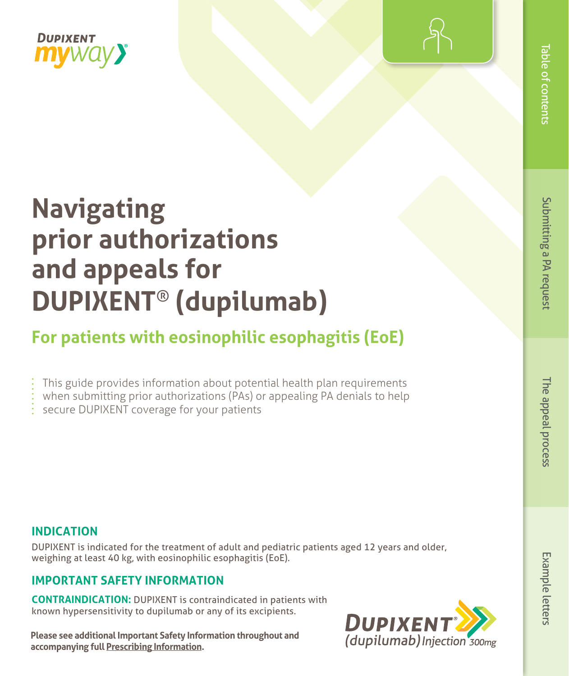



# **Navigating prior authorizations and appeals for DUPIXENT**® **(dupilumab)**

# **For patients with eosinophilic esophagitis (EoE)**

- This guide provides information about potential health plan requirements
- when submitting prior authorizations (PAs) or appealing PA denials to help
- secure DUPIXENT coverage for your patients

# **INDICATION**

DUPIXENT is indicated for the treatment of adult and pediatric patients aged 12 years and older, weighing at least 40 kg, with eosinophilic esophagitis (EoE).

# **IMPORTANT SAFETY INFORMATION**

**CONTRAINDICATION:** DUPIXENT is contraindicated in patients with known hypersensitivity to dupilumab or any of its excipients.

**Please see additional Important Safety Information throughout and accompanying ful[l P](https://www.regeneron.com/downloads/dupixent_fpi.pdf)rescribing Informatio[n.](https://www.regeneron.com/downloads/dupixent_fpi.pdf)** 

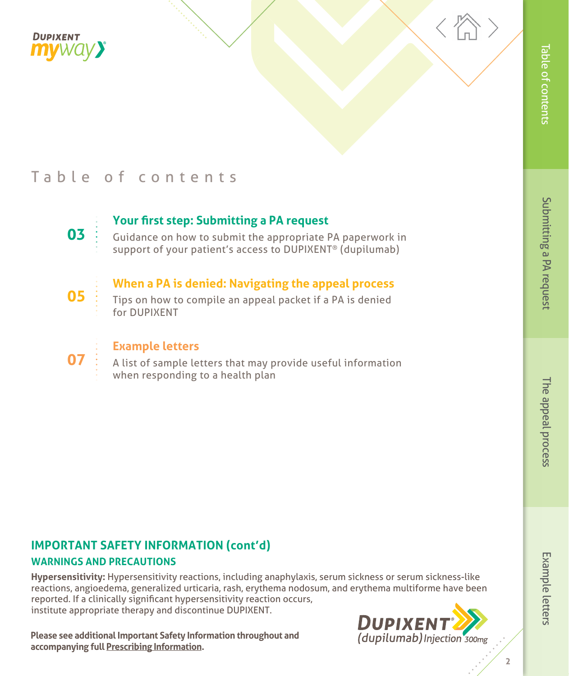<span id="page-1-0"></span>



# Table of contents



**05** 

## **Your first step: Submitting a PA request**

[Guidance on how to submit the appropriate PA paperwork in](#page-2-0) support of your patient's access to DUPIXENT® (dupilumab)

### **[When a PA is denied: Navigating the appeal process](#page-4-0)**

Tips on how to compile an appeal packet if a PA is denied for DUPIXENT



### **Example letters**

[A list of sample letters that may provide useful information](#page-6-0)  when responding to a health plan

# **IMPORTANT SAFETY INFORMATION (cont'd)**

#### **WARNINGS AND PRECAUTIONS**

**Hypersensitivity:** Hypersensitivity reactions, including anaphylaxis, serum sickness or serum sickness-like reactions, angioedema, generalized urticaria, rash, erythema nodosum, and erythema multiforme have been reported. If a clinically significant hypersensitivity reaction occurs, institute appropriate therapy and discontinue DUPIXENT.

**Please see additional Important Safety Information throughout and accompanying ful[l Prescribing Information.](https://www.regeneron.com/downloads/dupixent_fpi.pdf)** 

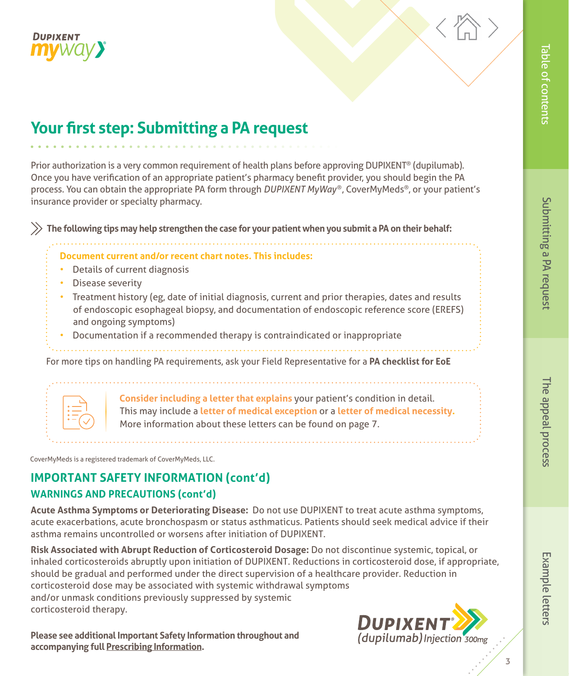<span id="page-2-0"></span>



# **Your first step: Submitting a PA request**

Prior authorization is a very common requirement of health plans before approving DUPIXENT® (dupilumab). Once you have verification of an appropriate patient's pharmacy benefit provider, you should begin the PA process. You can obtain the appropriate PA form through *DUPIXENT MyWay*®, CoverMyMeds®, or your patient's insurance provider or specialty pharmacy.

 **The following tips may help strengthen the case for your patient when you submit a PA on their behalf:** 

#### **Document current and/or recent chart notes. This includes:**

- Details of current diagnosis
- Disease severity
- Treatment history (eg, date of initial diagnosis, current and prior therapies, dates and results of endoscopic esophageal biopsy, and documentation of endoscopic reference score (EREFS) and ongoing symptoms)

• Documentation if a recommended therapy is contraindicated or inappropriate

For more tips on handling PA requirements, ask your Field Representative for a **PA checklist for EoE**

Letter

 **Consider including a letter that explains** your patient's condition in detail. This may include a **letter of medical exception** or a **letter of medical necessity.** More information about these letters can be found on page 7.

CoverMyMeds is a registered trademark of CoverMyMeds, LLC.

# **IMPORTANT SAFETY INFORMATION (cont'd) WARNINGS AND PRECAUTIONS (cont'd)**

**Acute Asthma Symptoms or Deteriorating Disease:** Do not use DUPIXENT to treat acute asthma symptoms, acute exacerbations, acute bronchospasm or status asthmaticus. Patients should seek medical advice if their asthma remains uncontrolled or worsens after initiation of DUPIXENT.

**Risk Associated with Abrupt Reduction of Corticosteroid Dosage:** Do not discontinue systemic, topical, or inhaled corticosteroids abruptly upon initiation of DUPIXENT. Reductions in corticosteroid dose, if appropriate, should be gradual and performed under the direct supervision of a healthcare provider. Reduction in corticosteroid dose may be associated with systemic withdrawal symptoms and/or unmask conditions previously suppressed by systemic corticosteroid therapy.

**Please see additional Important Safety Information throughout and accompanying ful[l Prescribing Information.](https://www.regeneron.com/downloads/dupixent_fpi.pdf)** 

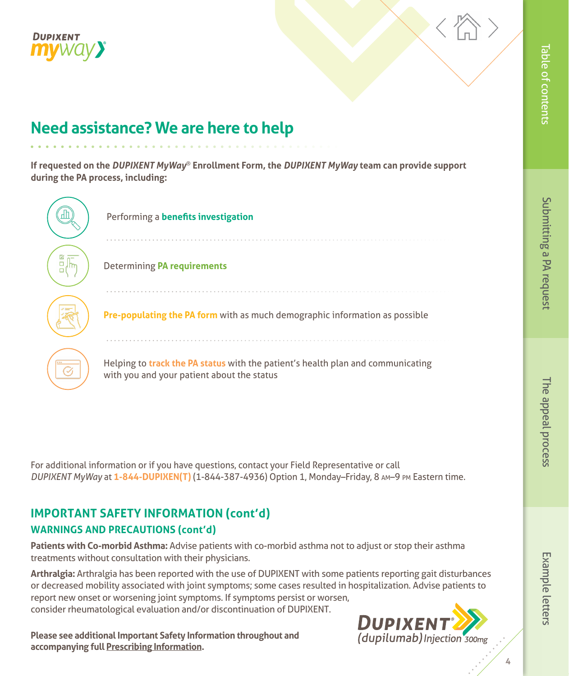



# **Need assistance? We are here to help**

**If requested on the** *DUPIXENT MyWay*® **Enrollment Form, the** *DUPIXENT MyWay* **team can provide support during the PA process, including:** 

| Performing a benefits investigation                                                                                           |
|-------------------------------------------------------------------------------------------------------------------------------|
| <b>Determining PA requirements</b>                                                                                            |
| Pre-populating the PA form with as much demographic information as possible                                                   |
| Helping to track the PA status with the patient's health plan and communicating<br>with you and your patient about the status |

For additional information or if you have questions, contact your Field Representative or call *DUPIXENT MyWay* at **1-844-DUPIXEN(T)** (1-844-387-4936) Option 1, Monday–Friday, 8 am–9 pm Eastern time.

# **IMPORTANT SAFETY INFORMATION (cont'd) WARNINGS AND PRECAUTIONS (cont'd)**

**Patients with Co-morbid Asthma:** Advise patients with co-morbid asthma not to adjust or stop their asthma treatments without consultation with their physicians.

**Arthralgia:** Arthralgia has been reported with the use of DUPIXENT with some patients reporting gait disturbances or decreased mobility associated with joint symptoms; some cases resulted in hospitalization. Advise patients to report new onset or worsening joint symptoms. If symptoms persist or worsen, consider rheumatological evaluation and/or discontinuation of DUPIXENT.

**Please see additional Important Safety Information throughout and accompanying ful[l Prescribing Information.](https://www.regeneron.com/downloads/dupixent_fpi.pdf)** 

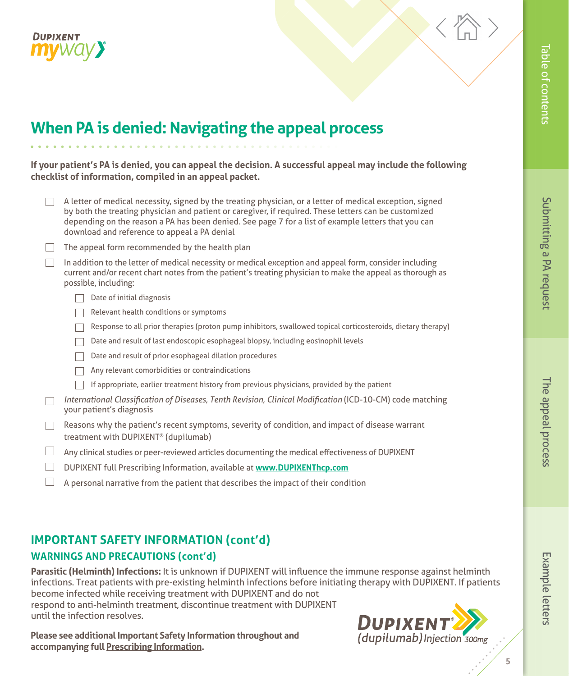<span id="page-4-0"></span>



# **When PA is denied: Navigating the appeal process**

**If your patient's PA is denied, you can appeal the decision. A successful appeal may include the following checklist of information, compiled in an appeal packet.** 

| A letter of medical necessity, signed by the treating physician, or a letter of medical exception, signed<br>by both the treating physician and patient or caregiver, if required. These letters can be customized<br>depending on the reason a PA has been denied. See page 7 for a list of example letters that you can<br>download and reference to appeal a PA denial |
|---------------------------------------------------------------------------------------------------------------------------------------------------------------------------------------------------------------------------------------------------------------------------------------------------------------------------------------------------------------------------|
| The appeal form recommended by the health plan                                                                                                                                                                                                                                                                                                                            |
| In addition to the letter of medical necessity or medical exception and appeal form, consider including<br>current and/or recent chart notes from the patient's treating physician to make the appeal as thorough as<br>possible, including:                                                                                                                              |
| Date of initial diagnosis                                                                                                                                                                                                                                                                                                                                                 |
| Relevant health conditions or symptoms                                                                                                                                                                                                                                                                                                                                    |
| Response to all prior therapies (proton pump inhibitors, swallowed topical corticosteroids, dietary therapy)                                                                                                                                                                                                                                                              |
| Date and result of last endoscopic esophageal biopsy, including eosinophil levels                                                                                                                                                                                                                                                                                         |
| Date and result of prior esophageal dilation procedures                                                                                                                                                                                                                                                                                                                   |
| Any relevant comorbidities or contraindications                                                                                                                                                                                                                                                                                                                           |
| If appropriate, earlier treatment history from previous physicians, provided by the patient                                                                                                                                                                                                                                                                               |
| International Classification of Diseases, Tenth Revision, Clinical Modification (ICD-10-CM) code matching<br>your patient's diagnosis                                                                                                                                                                                                                                     |
| Reasons why the patient's recent symptoms, severity of condition, and impact of disease warrant<br>treatment with DUPIXENT <sup>®</sup> (dupilumab)                                                                                                                                                                                                                       |
| Any clinical studies or peer-reviewed articles documenting the medical effectiveness of DUPIXENT                                                                                                                                                                                                                                                                          |
| DUPIXENT full Prescribing Information, available at www.DUPIXENThcp.com                                                                                                                                                                                                                                                                                                   |
| A personal narrative from the patient that describes the impact of their condition                                                                                                                                                                                                                                                                                        |

# **IMPORTANT SAFETY INFORMATION (cont'd)**

#### **WARNINGS AND PRECAUTIONS (cont'd)**

**Parasitic (Helminth) Infections:** It is unknown if DUPIXENT will influence the immune response against helminth infections. Treat patients with pre-existing helminth infections before initiating therapy with DUPIXENT. If patients become infected while receiving treatment with DUPIXENT and do not respond to anti-helminth treatment, discontinue treatment with DUPIXENT until the infection resolves.

**Please see additional Important Safety Information throughout and accompanying ful[l Prescribing Information.](https://www.regeneron.com/downloads/dupixent_fpi.pdf)** 



Example letters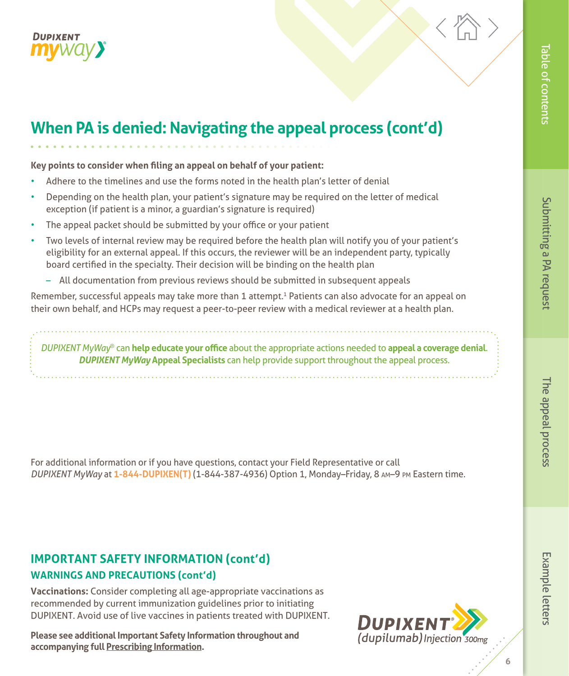



# **When PA is denied: Navigating the appeal process (cont'd)**

**Key points to consider when filing an appeal on behalf of your patient:**

- Adhere to the timelines and use the forms noted in the health plan's letter of denial
- Depending on the health plan, your patient's signature may be required on the letter of medical exception (if patient is a minor, a guardian's signature is required)
- The appeal packet should be submitted by your office or your patient
- Two levels of internal review may be required before the health plan will notify you of your patient's eligibility for an external appeal. If this occurs, the reviewer will be an independent party, typically board certified in the specialty. Their decision will be binding on the health plan
	- All documentation from previous reviews should be submitted in subsequent appeals

Remember, successful appeals may take more than 1 attempt.<sup>1</sup> Patients can also advocate for an appeal on their own behalf, and HCPs may request a peer-to-peer review with a medical reviewer at a health plan.

*DUPIXENT MyWay*® can **help educate your office** about the appropriate actions needed to **appeal a coverage denial**. *DUPIXENT MyWay* **Appeal Specialists** can help provide support throughout the appeal process.

For additional information or if you have questions, contact your Field Representative or call *DUPIXENT MyWay* at **1-844-DUPIXEN(T)** (1-844-387-4936) Option 1, Monday–Friday, 8 am–9 pm Eastern time.

# **IMPORTANT SAFETY INFORMATION (cont'd)**

#### **WARNINGS AND PRECAUTIONS (cont'd)**

**Vaccinations:** Consider completing all age-appropriate vaccinations as recommended by current immunization guidelines prior to initiating DUPIXENT. Avoid use of live vaccines in patients treated with DUPIXENT.

**Please see additional Important Safety Information throughout and accompanying ful[l Prescribing Information.](https://www.regeneron.com/downloads/dupixent_fpi.pdf)** 



# Submitting a PA request [The appeal process](#page-4-0) [Example letters](#page-6-0) [Table of contents](#page-1-0)

Submitting a PA request

Table of contents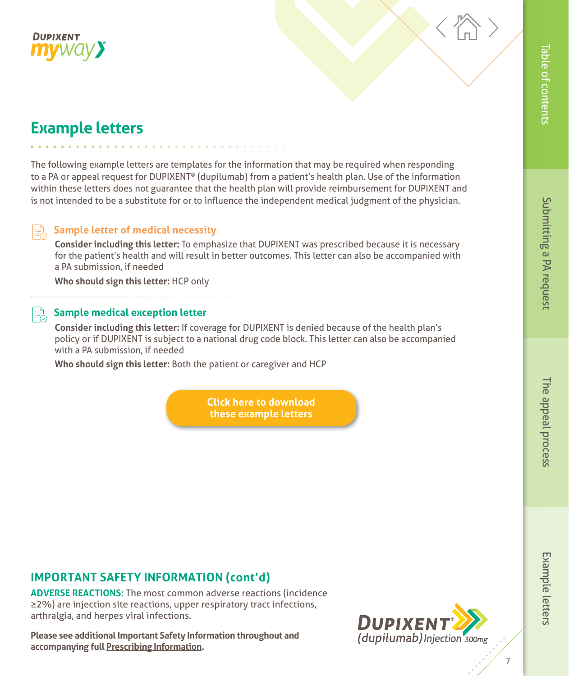<span id="page-6-0"></span>



# **Example letters**

The following example letters are templates for the information that may be required when responding to a PA or appeal request for DUPIXENT® (dupilumab) from a patient's health plan. Use of the information within these letters does not guarantee that the health plan will provide reimbursement for DUPIXENT and is not intended to be a substitute for or to influence the independent medical judgment of the physician.

#### $\parallel \equiv \stackrel{\rightarrow}{\sim}$ **Sample letter of medical necessity**

**Consider including this letter:** To emphasize that DUPIXENT was prescribed because it is necessary for the patient's health and will result in better outcomes. This letter can also be accompanied with a PA submission, if needed

**Who should sign this letter:** HCP only

#### **Sample medical exception letter** ∣⊧≛ੈ

**Consider including this letter:** If coverage for DUPIXENT is denied because of the health plan's policy or if DUPIXENT is subject to a national drug code block. This letter can also be accompanied with a PA submission, if needed

**Who should sign this letter:** Both the patient or caregiver and HCP

**[Click here to download](https://www.dupixenthcp.com/patient-support/coverage-support)  these example letters**

# Table of contents

# **IMPORTANT SAFETY INFORMATION (cont'd)**

**ADVERSE REACTIONS:** The most common adverse reactions (incidence ≥2%) are injection site reactions, upper respiratory tract infections, arthralgia, and herpes viral infections.

**Please see additional Important Safety Information throughout and accompanying ful[l Prescribing Information.](https://www.regeneron.com/downloads/dupixent_fpi.pdf)**